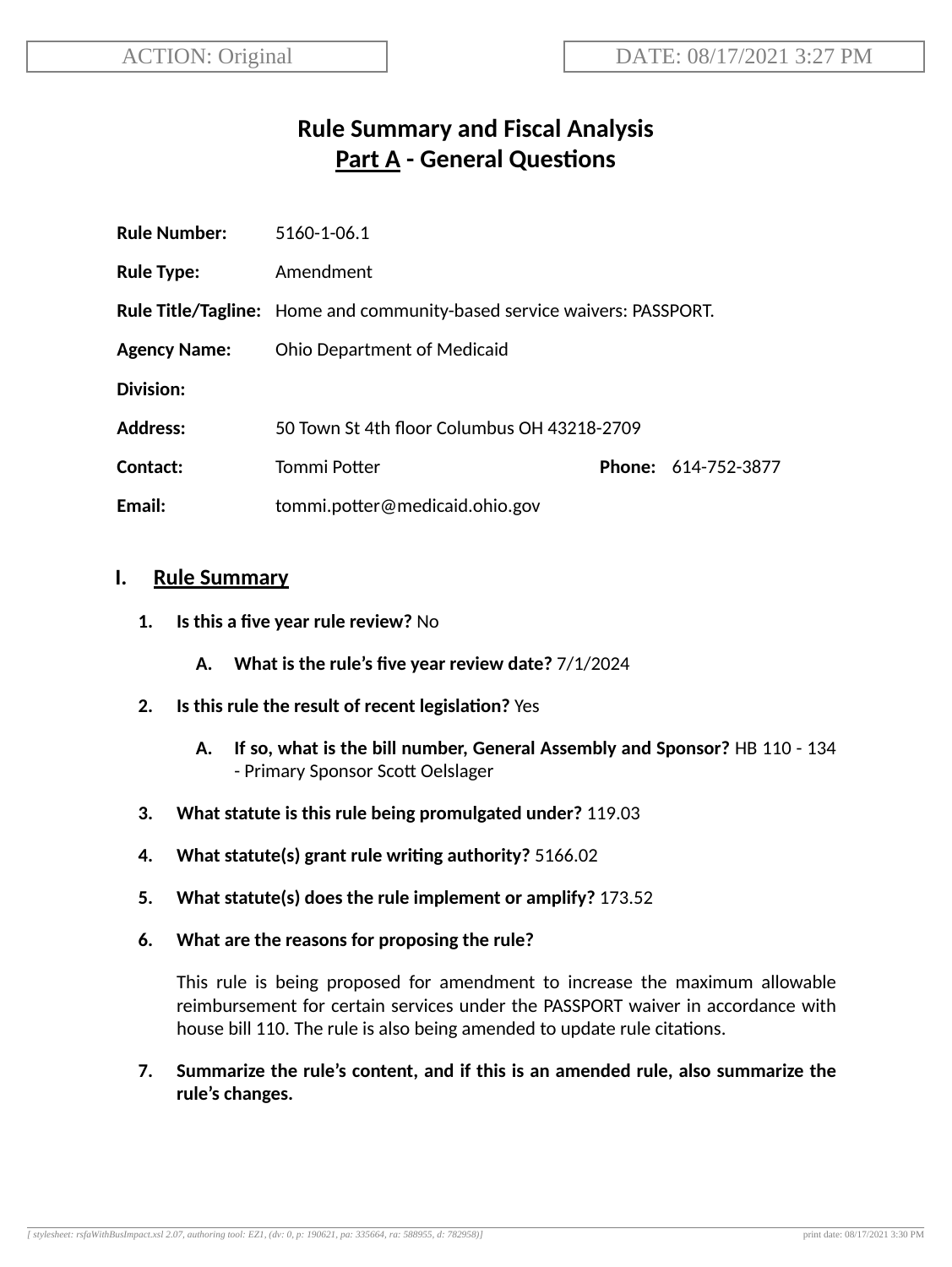# **Rule Summary and Fiscal Analysis Part A - General Questions**

| <b>Rule Number:</b> | 5160-1-06.1                                                             |  |                     |
|---------------------|-------------------------------------------------------------------------|--|---------------------|
| <b>Rule Type:</b>   | Amendment                                                               |  |                     |
|                     | Rule Title/Tagline: Home and community-based service waivers: PASSPORT. |  |                     |
| <b>Agency Name:</b> | <b>Ohio Department of Medicaid</b>                                      |  |                     |
| Division:           |                                                                         |  |                     |
| <b>Address:</b>     | 50 Town St 4th floor Columbus OH 43218-2709                             |  |                     |
| Contact:            | Tommi Potter                                                            |  | Phone: 614-752-3877 |
| Email:              | tommi.potter@medicaid.ohio.gov                                          |  |                     |

## **I. Rule Summary**

- **1. Is this a five year rule review?** No
	- **A. What is the rule's five year review date?** 7/1/2024
- **2. Is this rule the result of recent legislaon?** Yes
	- **A. If so, what is the bill number, General Assembly and Sponsor?** HB 110 134 - Primary Sponsor Scott Oelslager
- **3. What statute is this rule being promulgated under?** 119.03
- **4. What statute(s) grant rule wring authority?** 5166.02
- **5. What statute(s) does the rule implement or amplify?** 173.52
- **6. What are the reasons for proposing the rule?**

This rule is being proposed for amendment to increase the maximum allowable reimbursement for certain services under the PASSPORT waiver in accordance with house bill 110. The rule is also being amended to update rule citations.

**7. Summarize the rule's content, and if this is an amended rule, also summarize the rule's changes.**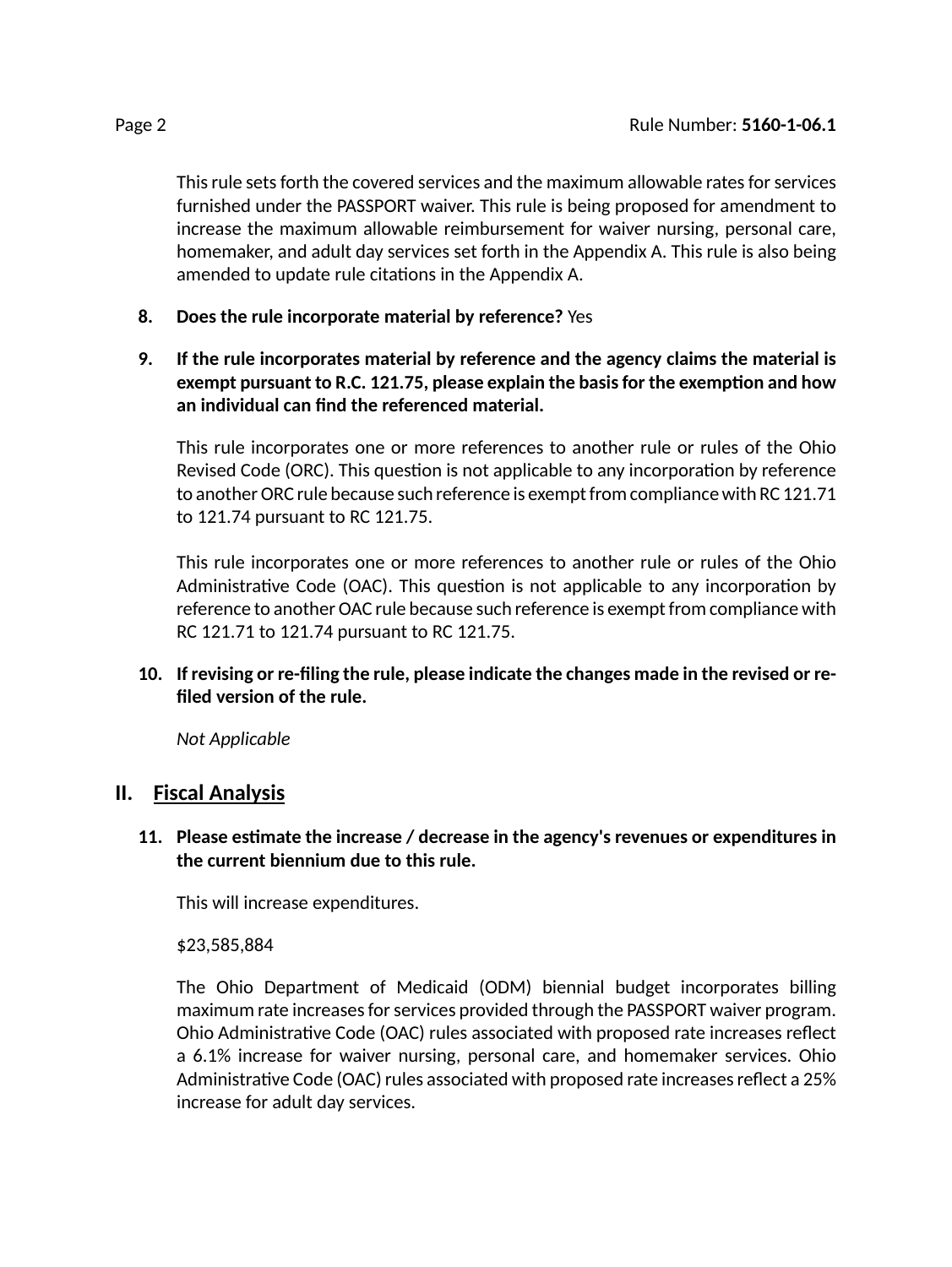This rule sets forth the covered services and the maximum allowable rates for services furnished under the PASSPORT waiver. This rule is being proposed for amendment to increase the maximum allowable reimbursement for waiver nursing, personal care, homemaker, and adult day services set forth in the Appendix A. This rule is also being amended to update rule citations in the Appendix A.

- **8. Does the rule incorporate material by reference?** Yes
- **9. If the rule incorporates material by reference and the agency claims the material is exempt pursuant to R.C. 121.75, please explain the basisfor the exempon and how an individual can find the referenced material.**

This rule incorporates one or more references to another rule or rules of the Ohio Revised Code (ORC). This question is not applicable to any incorporation by reference to another ORC rule because such reference is exempt from compliance with RC 121.71 to 121.74 pursuant to RC 121.75.

This rule incorporates one or more references to another rule or rules of the Ohio Administrative Code (OAC). This question is not applicable to any incorporation by reference to another OAC rule because such reference is exempt from compliance with RC 121.71 to 121.74 pursuant to RC 121.75.

## **10. If revising or re-filing the rule, please indicate the changes made in the revised or refiled version of the rule.**

*Not Applicable*

## **II. Fiscal Analysis**

#### **11. Please esmate the increase / decrease in the agency's revenues or expenditures in the current biennium due to this rule.**

This will increase expenditures.

\$23,585,884

The Ohio Department of Medicaid (ODM) biennial budget incorporates billing maximum rate increases for services provided through the PASSPORT waiver program. Ohio Administrative Code (OAC) rules associated with proposed rate increases reflect a 6.1% increase for waiver nursing, personal care, and homemaker services. Ohio Administrative Code (OAC) rules associated with proposed rate increases reflect a 25% increase for adult day services.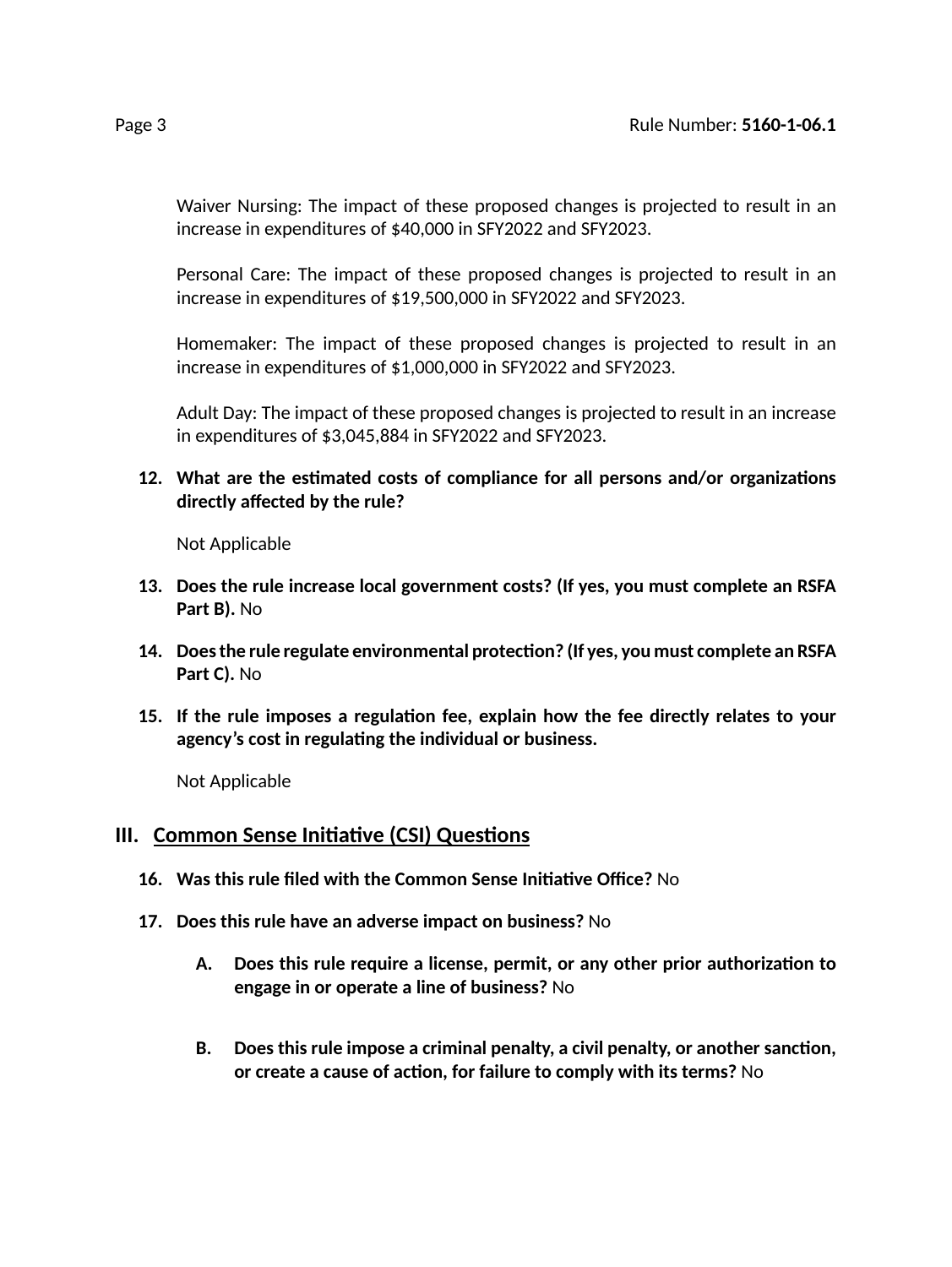Waiver Nursing: The impact of these proposed changes is projected to result in an increase in expenditures of \$40,000 in SFY2022 and SFY2023.

Personal Care: The impact of these proposed changes is projected to result in an increase in expenditures of \$19,500,000 in SFY2022 and SFY2023.

Homemaker: The impact of these proposed changes is projected to result in an increase in expenditures of \$1,000,000 in SFY2022 and SFY2023.

Adult Day: The impact of these proposed changes is projected to result in an increase in expenditures of \$3,045,884 in SFY2022 and SFY2023.

**12. What are the esmated costs of compliance for all persons and/or organizaons directly affected by the rule?**

Not Applicable

- **13. Does the rule increase local government costs? (If yes, you must complete an RSFA Part B).** No
- **14. Doesthe rule regulate environmental protecon? (If yes, you must complete an RSFA Part C).** No
- **15. If the rule imposes a regulaon fee, explain how the fee directly relates to your agency's cost in regulang the individual or business.**

Not Applicable

## **III.** Common Sense Initiative (CSI) Questions

- **16. Was this rule filed with the Common Sense Iniave Office?** No
- **17. Does this rule have an adverse impact on business?** No
	- **A. Does this rule require a license, permit, or any other prior authorizaon to engage in or operate a line of business?** No
	- **B. Does this rule impose a criminal penalty, a civil penalty, or another sancon, or create a cause of acon, for failure to comply with its terms?** No